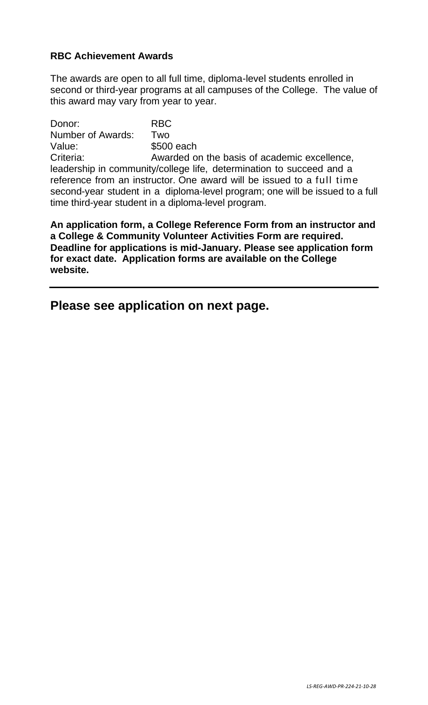# **RBC Achievement Awards**

The awards are open to all full time, diploma-level students enrolled in second or third-year programs at all campuses of the College. The value of this award may vary from year to year.

Donor: RBC Number of Awards: Two Value: \$500 each Criteria: Awarded on the basis of academic excellence, leadership in community/college life, determination to succeed and a reference from an instructor. One award will be issued to a full time second-year student in a diploma-level program; one will be issued to a full time third-year student in a diploma-level program.

**An application form, a College Reference Form from an instructor and a College & Community Volunteer Activities Form are required. Deadline for applications is mid-January. Please see application form for exact date. Application forms are available on the College website.** 

**Please see application on next page.**